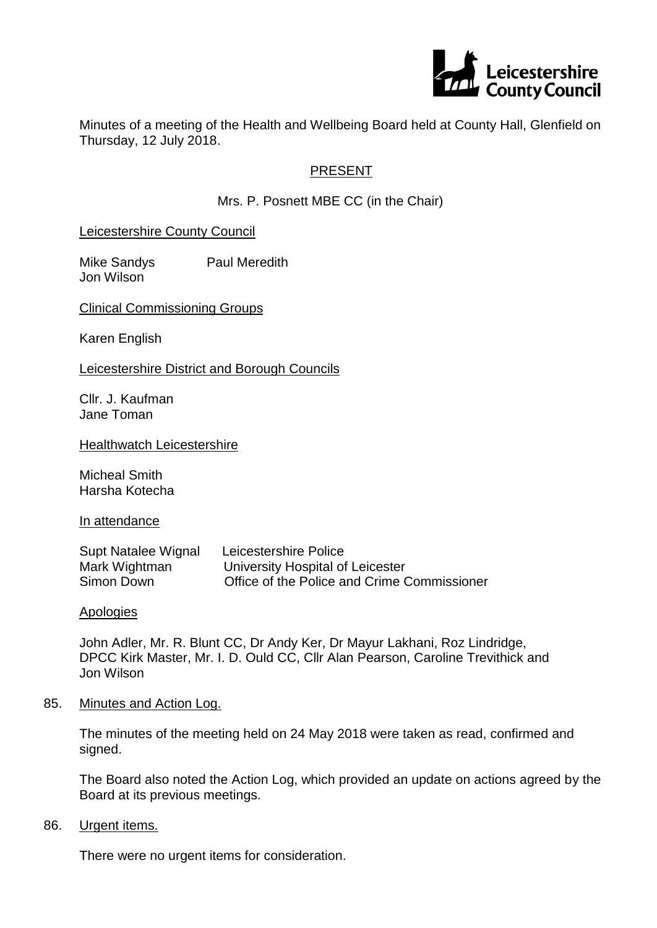

Minutes of a meeting of the Health and Wellbeing Board held at County Hall, Glenfield on Thursday, 12 July 2018.

## PRESENT

Mrs. P. Posnett MBE CC (in the Chair)

Leicestershire County Council

Mike Sandys Paul Meredith Jon Wilson

Clinical Commissioning Groups

Karen English

Leicestershire District and Borough Councils

Cllr. J. Kaufman Jane Toman

**Healthwatch Leicestershire** 

Micheal Smith Harsha Kotecha

In attendance

| Supt Natalee Wignal | Leicestershire Police                       |
|---------------------|---------------------------------------------|
| Mark Wightman       | University Hospital of Leicester            |
| Simon Down          | Office of the Police and Crime Commissioner |

Apologies

John Adler, Mr. R. Blunt CC, Dr Andy Ker, Dr Mayur Lakhani, Roz Lindridge, DPCC Kirk Master, Mr. I. D. Ould CC, Cllr Alan Pearson, Caroline Trevithick and Jon Wilson

85. Minutes and Action Log.

The minutes of the meeting held on 24 May 2018 were taken as read, confirmed and signed.

The Board also noted the Action Log, which provided an update on actions agreed by the Board at its previous meetings.

86. Urgent items.

There were no urgent items for consideration.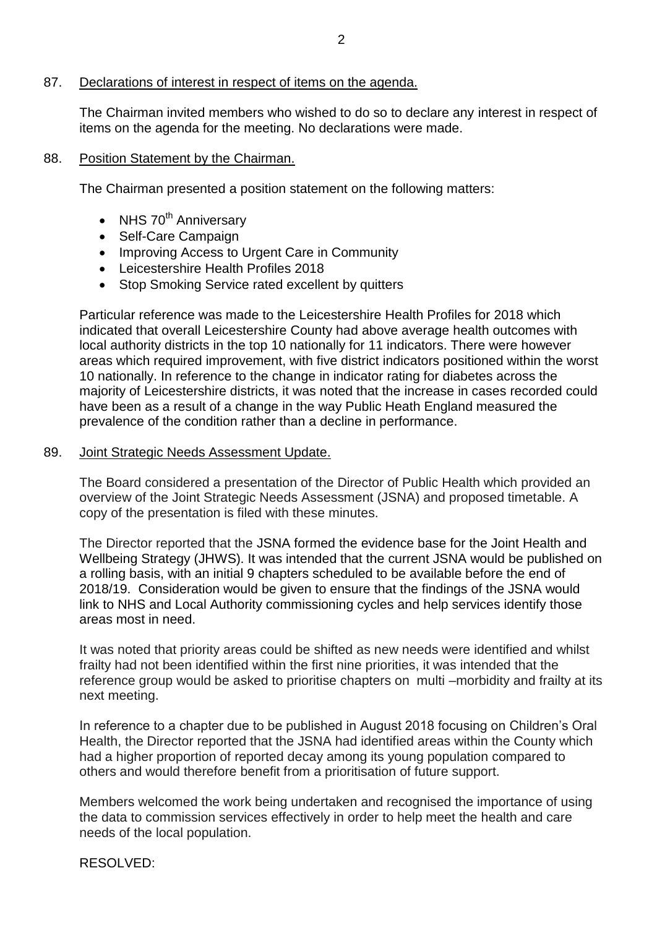#### 87. Declarations of interest in respect of items on the agenda.

The Chairman invited members who wished to do so to declare any interest in respect of items on the agenda for the meeting. No declarations were made.

#### 88. Position Statement by the Chairman.

The Chairman presented a position statement on the following matters:

- NHS  $70<sup>th</sup>$  Anniversary
- Self-Care Campaign
- Improving Access to Urgent Care in Community
- Leicestershire Health Profiles 2018
- Stop Smoking Service rated excellent by quitters

Particular reference was made to the Leicestershire Health Profiles for 2018 which indicated that overall Leicestershire County had above average health outcomes with local authority districts in the top 10 nationally for 11 indicators. There were however areas which required improvement, with five district indicators positioned within the worst 10 nationally. In reference to the change in indicator rating for diabetes across the majority of Leicestershire districts, it was noted that the increase in cases recorded could have been as a result of a change in the way Public Heath England measured the prevalence of the condition rather than a decline in performance.

#### 89. Joint Strategic Needs Assessment Update.

The Board considered a presentation of the Director of Public Health which provided an overview of the Joint Strategic Needs Assessment (JSNA) and proposed timetable. A copy of the presentation is filed with these minutes.

The Director reported that the JSNA formed the evidence base for the Joint Health and Wellbeing Strategy (JHWS). It was intended that the current JSNA would be published on a rolling basis, with an initial 9 chapters scheduled to be available before the end of 2018/19. Consideration would be given to ensure that the findings of the JSNA would link to NHS and Local Authority commissioning cycles and help services identify those areas most in need.

It was noted that priority areas could be shifted as new needs were identified and whilst frailty had not been identified within the first nine priorities, it was intended that the reference group would be asked to prioritise chapters on multi –morbidity and frailty at its next meeting.

In reference to a chapter due to be published in August 2018 focusing on Children's Oral Health, the Director reported that the JSNA had identified areas within the County which had a higher proportion of reported decay among its young population compared to others and would therefore benefit from a prioritisation of future support.

Members welcomed the work being undertaken and recognised the importance of using the data to commission services effectively in order to help meet the health and care needs of the local population.

RESOLVED: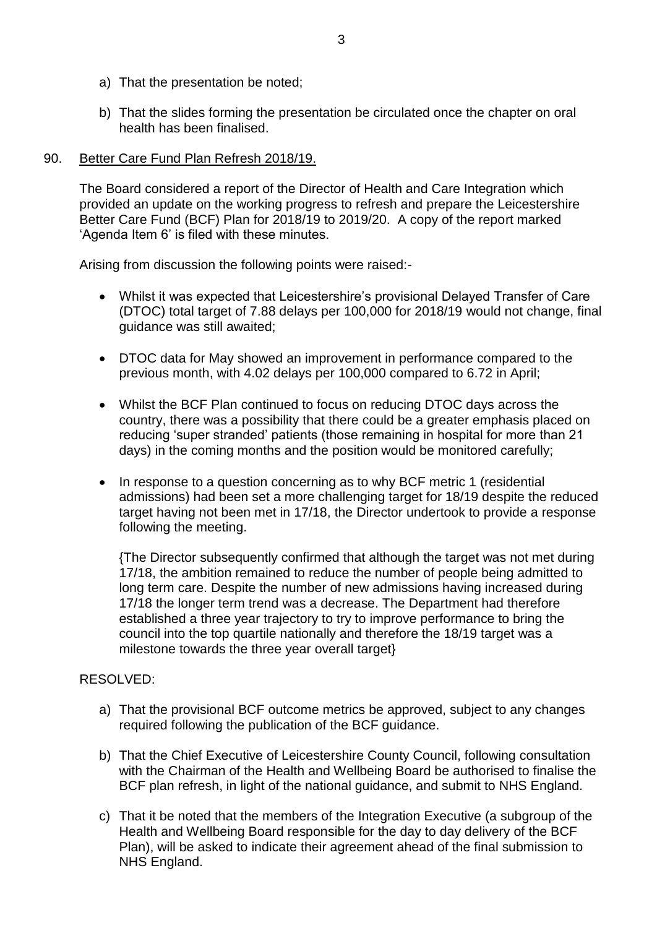- a) That the presentation be noted;
- b) That the slides forming the presentation be circulated once the chapter on oral health has been finalised.

## 90. Better Care Fund Plan Refresh 2018/19.

The Board considered a report of the Director of Health and Care Integration which provided an update on the working progress to refresh and prepare the Leicestershire Better Care Fund (BCF) Plan for 2018/19 to 2019/20. A copy of the report marked 'Agenda Item 6' is filed with these minutes.

Arising from discussion the following points were raised:-

- Whilst it was expected that Leicestershire's provisional Delayed Transfer of Care (DTOC) total target of 7.88 delays per 100,000 for 2018/19 would not change, final guidance was still awaited;
- DTOC data for May showed an improvement in performance compared to the previous month, with 4.02 delays per 100,000 compared to 6.72 in April;
- Whilst the BCF Plan continued to focus on reducing DTOC days across the country, there was a possibility that there could be a greater emphasis placed on reducing 'super stranded' patients (those remaining in hospital for more than 21 days) in the coming months and the position would be monitored carefully;
- In response to a question concerning as to why BCF metric 1 (residential admissions) had been set a more challenging target for 18/19 despite the reduced target having not been met in 17/18, the Director undertook to provide a response following the meeting.

{The Director subsequently confirmed that although the target was not met during 17/18, the ambition remained to reduce the number of people being admitted to long term care. Despite the number of new admissions having increased during 17/18 the longer term trend was a decrease. The Department had therefore established a three year trajectory to try to improve performance to bring the council into the top quartile nationally and therefore the 18/19 target was a milestone towards the three year overall target}

## RESOLVED:

- a) That the provisional BCF outcome metrics be approved, subject to any changes required following the publication of the BCF guidance.
- b) That the Chief Executive of Leicestershire County Council, following consultation with the Chairman of the Health and Wellbeing Board be authorised to finalise the BCF plan refresh, in light of the national guidance, and submit to NHS England.
- c) That it be noted that the members of the Integration Executive (a subgroup of the Health and Wellbeing Board responsible for the day to day delivery of the BCF Plan), will be asked to indicate their agreement ahead of the final submission to NHS England.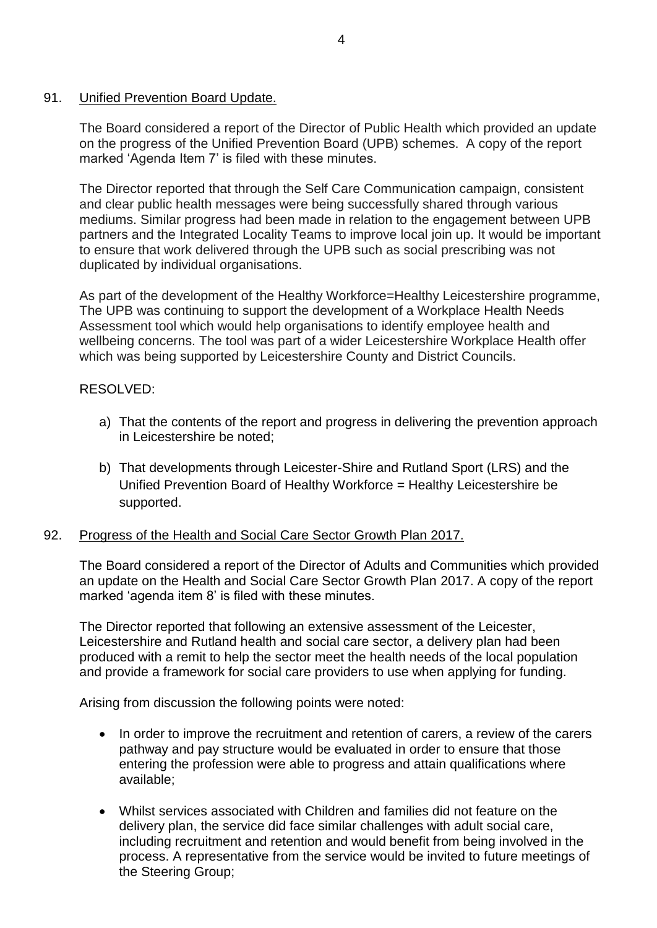## 91. Unified Prevention Board Update.

The Board considered a report of the Director of Public Health which provided an update on the progress of the Unified Prevention Board (UPB) schemes. A copy of the report marked 'Agenda Item 7' is filed with these minutes.

The Director reported that through the Self Care Communication campaign, consistent and clear public health messages were being successfully shared through various mediums. Similar progress had been made in relation to the engagement between UPB partners and the Integrated Locality Teams to improve local join up. It would be important to ensure that work delivered through the UPB such as social prescribing was not duplicated by individual organisations.

As part of the development of the Healthy Workforce=Healthy Leicestershire programme, The UPB was continuing to support the development of a Workplace Health Needs Assessment tool which would help organisations to identify employee health and wellbeing concerns. The tool was part of a wider Leicestershire Workplace Health offer which was being supported by Leicestershire County and District Councils.

## RESOLVED:

- a) That the contents of the report and progress in delivering the prevention approach in Leicestershire be noted;
- b) That developments through Leicester-Shire and Rutland Sport (LRS) and the Unified Prevention Board of Healthy Workforce = Healthy Leicestershire be supported.

# 92. Progress of the Health and Social Care Sector Growth Plan 2017.

The Board considered a report of the Director of Adults and Communities which provided an update on the Health and Social Care Sector Growth Plan 2017. A copy of the report marked 'agenda item 8' is filed with these minutes.

The Director reported that following an extensive assessment of the Leicester, Leicestershire and Rutland health and social care sector, a delivery plan had been produced with a remit to help the sector meet the health needs of the local population and provide a framework for social care providers to use when applying for funding.

Arising from discussion the following points were noted:

- In order to improve the recruitment and retention of carers, a review of the carers pathway and pay structure would be evaluated in order to ensure that those entering the profession were able to progress and attain qualifications where available;
- Whilst services associated with Children and families did not feature on the delivery plan, the service did face similar challenges with adult social care, including recruitment and retention and would benefit from being involved in the process. A representative from the service would be invited to future meetings of the Steering Group;